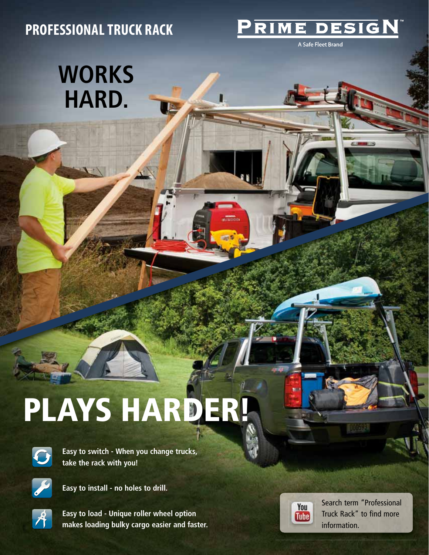## **PROFESSIONAL TRUCK RACK**

## DESI GN

A Safe Fleet Brand

## **WORKS HARD.**

## **PLAYS HARDER!**



**Easy to switch - When you change trucks, take the rack with you!**



**Easy to install - no holes to drill.** 



**Easy to load - Unique roller wheel option makes loading bulky cargo easier and faster.**



Search term "Professional Truck Rack" to find more information.